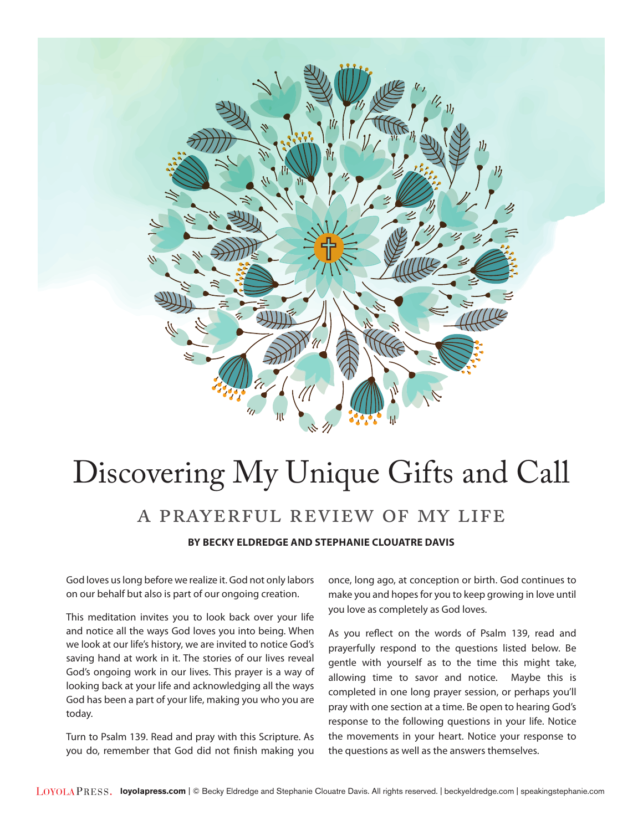

# Discovering My Unique Gifts and Call a prayerful review of my life

**BY BECKY ELDREDGE AND STEPHANIE CLOUATRE DAVIS** 

God loves us long before we realize it. God not only labors on our behalf but also is part of our ongoing creation.

This meditation invites you to look back over your life and notice all the ways God loves you into being. When we look at our life's history, we are invited to notice God's saving hand at work in it. The stories of our lives reveal God's ongoing work in our lives. This prayer is a way of looking back at your life and acknowledging all the ways God has been a part of your life, making you who you are today.

Turn to Psalm 139. Read and pray with this Scripture. As you do, remember that God did not finish making you once, long ago, at conception or birth. God continues to make you and hopes for you to keep growing in love until you love as completely as God loves.

As you reflect on the words of Psalm 139, read and prayerfully respond to the questions listed below. Be gentle with yourself as to the time this might take, allowing time to savor and notice. Maybe this is completed in one long prayer session, or perhaps you'll pray with one section at a time. Be open to hearing God's response to the following questions in your life. Notice the movements in your heart. Notice your response to the questions as well as the answers themselves.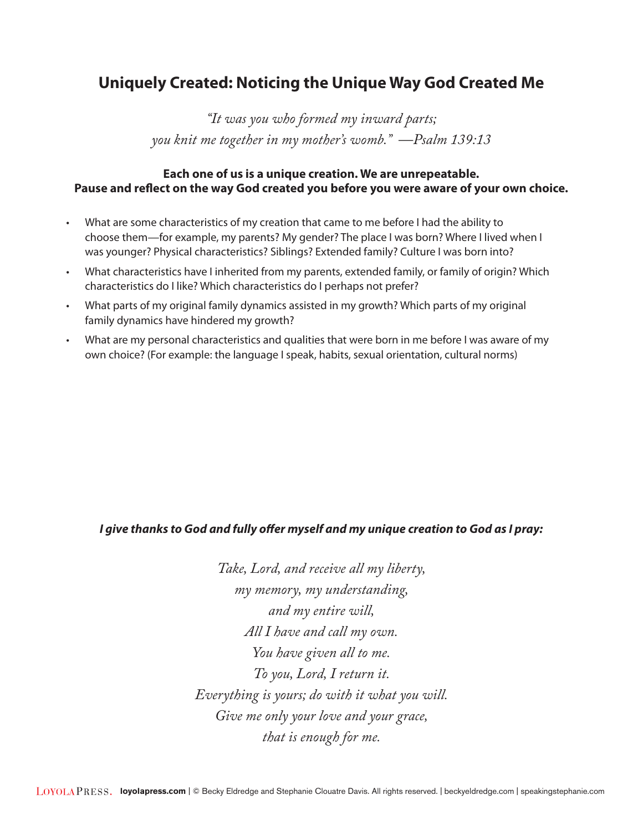## **Uniquely Created: Noticing the Unique Way God Created Me**

*"It was you who formed my inward parts; you knit me together in my mother's womb." —Psalm 139:13* 

### **Each one of us is a unique creation. We are unrepeatable. Pause and reflect on the way God created you before you were aware of your own choice.**

- What are some characteristics of my creation that came to me before I had the ability to choose them—for example, my parents? My gender? The place I was born? Where I lived when I was younger? Physical characteristics? Siblings? Extended family? Culture I was born into?
- What characteristics have I inherited from my parents, extended family, or family of origin? Which characteristics do I like? Which characteristics do I perhaps not prefer?
- What parts of my original family dynamics assisted in my growth? Which parts of my original family dynamics have hindered my growth?
- What are my personal characteristics and qualities that were born in me before I was aware of my own choice? (For example: the language I speak, habits, sexual orientation, cultural norms)

#### *I give thanks to God and fully offer myself and my unique creation to God as I pray:*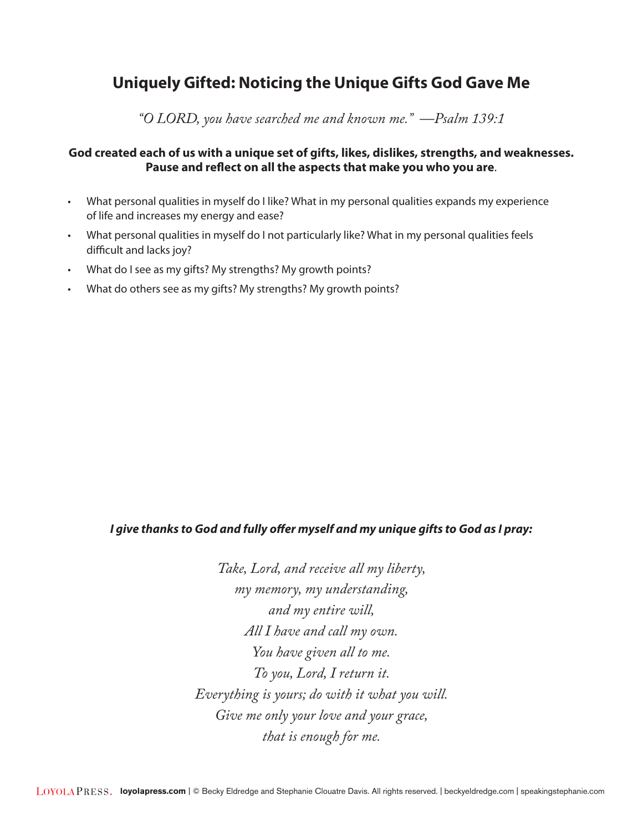# **Uniquely Gifted: Noticing the Unique Gifts God Gave Me**

*"O LORD, you have searched me and known me." —Psalm 139:1* 

#### **God created each of us with a unique set of gifts, likes, dislikes, strengths, and weaknesses. Pause and reflect on all the aspects that make you who you are**.

- What personal qualities in myself do I like? What in my personal qualities expands my experience of life and increases my energy and ease?
- What personal qualities in myself do I not particularly like? What in my personal qualities feels difficult and lacks joy?
- What do I see as my gifts? My strengths? My growth points?
- What do others see as my gifts? My strengths? My growth points?

#### *I give thanks to God and fully offer myself and my unique gifts to God as I pray:*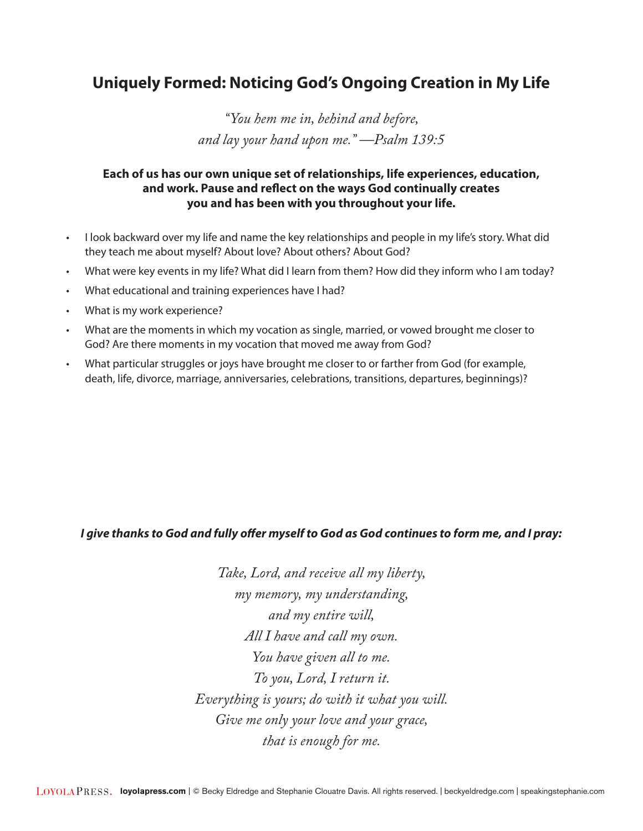# **Uniquely Formed: Noticing God's Ongoing Creation in My Life**

*"You hem me in, behind and before, and lay your hand upon me." —Psalm 139:5* 

## **Each of us has our own unique set of relationships, life experiences, education, and work. Pause and reflect on the ways God continually creates you and has been with you throughout your life.**

- I look backward over my life and name the key relationships and people in my life's story. What did they teach me about myself? About love? About others? About God?
- What were key events in my life? What did I learn from them? How did they inform who I am today?
- What educational and training experiences have I had?
- What is my work experience?
- What are the moments in which my vocation as single, married, or vowed brought me closer to God? Are there moments in my vocation that moved me away from God?
- What particular struggles or joys have brought me closer to or farther from God (for example, death, life, divorce, marriage, anniversaries, celebrations, transitions, departures, beginnings)?

#### *I give thanks to God and fully offer myself to God as God continues to form me, and I pray:*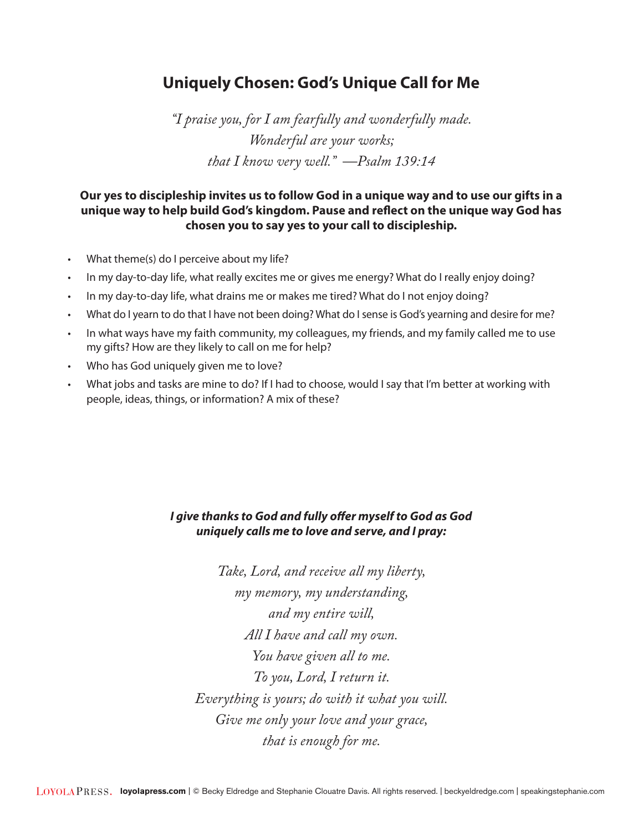# **Uniquely Chosen: God's Unique Call for Me**

*"I praise you, for I am fearfully and wonderfully made. Wonderful are your works; that I know very well." —Psalm 139:14* 

### **Our yes to discipleship invites us to follow God in a unique way and to use our gifts in a unique way to help build God's kingdom. Pause and reflect on the unique way God has chosen you to say yes to your call to discipleship.**

- What theme(s) do I perceive about my life?
- In my day-to-day life, what really excites me or gives me energy? What do I really enjoy doing?
- In my day-to-day life, what drains me or makes me tired? What do I not enjoy doing?
- What do I yearn to do that I have not been doing? What do I sense is God's yearning and desire for me?
- In what ways have my faith community, my colleagues, my friends, and my family called me to use my gifts? How are they likely to call on me for help?
- Who has God uniquely given me to love?
- What jobs and tasks are mine to do? If I had to choose, would I say that I'm better at working with people, ideas, things, or information? A mix of these?

## *I give thanks to God and fully offer myself to God as God uniquely calls me to love and serve, and I pray:*